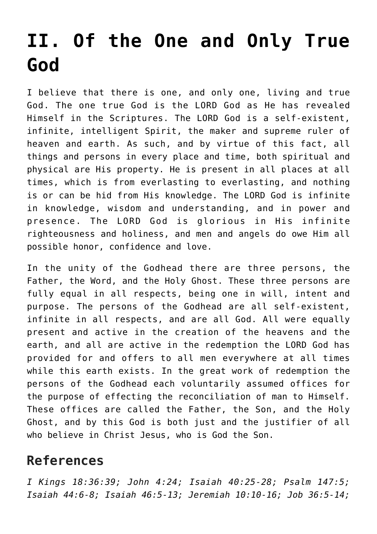## **[II. Of the One and Only True](https://reproachofmen.org/statement-of-faith/ii-of-the-one-and-only-true-god/) [God](https://reproachofmen.org/statement-of-faith/ii-of-the-one-and-only-true-god/)**

I believe that there is one, and only one, living and true God. The one true God is the LORD God as He has revealed Himself in the Scriptures. The LORD God is a self-existent, infinite, intelligent Spirit, the maker and supreme ruler of heaven and earth. As such, and by virtue of this fact, all things and persons in every place and time, both spiritual and physical are His property. He is present in all places at all times, which is from everlasting to everlasting, and nothing is or can be hid from His knowledge. The LORD God is infinite in knowledge, wisdom and understanding, and in power and presence. The LORD God is glorious in His infinite righteousness and holiness, and men and angels do owe Him all possible honor, confidence and love.

In the unity of the Godhead there are three persons, the Father, the Word, and the Holy Ghost. These three persons are fully equal in all respects, being one in will, intent and purpose. The persons of the Godhead are all self-existent, infinite in all respects, and are all God. All were equally present and active in the creation of the heavens and the earth, and all are active in the redemption the LORD God has provided for and offers to all men everywhere at all times while this earth exists. In the great work of redemption the persons of the Godhead each voluntarily assumed offices for the purpose of effecting the reconciliation of man to Himself. These offices are called the Father, the Son, and the Holy Ghost, and by this God is both just and the justifier of all who believe in Christ Jesus, who is God the Son.

## **References**

*I Kings 18:36:39; John 4:24; Isaiah 40:25-28; Psalm 147:5; Isaiah 44:6-8; Isaiah 46:5-13; Jeremiah 10:10-16; Job 36:5-14;*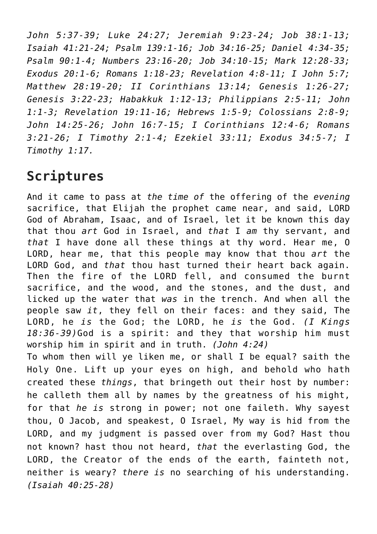*John 5:37-39; Luke 24:27; Jeremiah 9:23-24; Job 38:1-13; Isaiah 41:21-24; Psalm 139:1-16; Job 34:16-25; Daniel 4:34-35; Psalm 90:1-4; Numbers 23:16-20; Job 34:10-15; Mark 12:28-33; Exodus 20:1-6; Romans 1:18-23; Revelation 4:8-11; I John 5:7; Matthew 28:19-20; II Corinthians 13:14; Genesis 1:26-27; Genesis 3:22-23; Habakkuk 1:12-13; Philippians 2:5-11; John 1:1-3; Revelation 19:11-16; Hebrews 1:5-9; Colossians 2:8-9; John 14:25-26; John 16:7-15; I Corinthians 12:4-6; Romans 3:21-26; I Timothy 2:1-4; Ezekiel 33:11; Exodus 34:5-7; I Timothy 1:17.*

## **Scriptures**

And it came to pass at *the time of* the offering of the *evening* sacrifice, that Elijah the prophet came near, and said, LORD God of Abraham, Isaac, and of Israel, let it be known this day that thou *art* God in Israel, and *that* I *am* thy servant, and *that* I have done all these things at thy word. Hear me, O LORD, hear me, that this people may know that thou *art* the LORD God, and *that* thou hast turned their heart back again. Then the fire of the LORD fell, and consumed the burnt sacrifice, and the wood, and the stones, and the dust, and licked up the water that *was* in the trench. And when all the people saw *it*, they fell on their faces: and they said, The LORD, he *is* the God; the LORD, he *is* the God. *(I Kings 18:36-39)*God is a spirit: and they that worship him must worship him in spirit and in truth. *(John 4:24)* To whom then will ye liken me, or shall I be equal? saith the Holy One. Lift up your eyes on high, and behold who hath created these *things*, that bringeth out their host by number: he calleth them all by names by the greatness of his might, for that *he is* strong in power; not one faileth. Why sayest thou, O Jacob, and speakest, O Israel, My way is hid from the LORD, and my judgment is passed over from my God? Hast thou not known? hast thou not heard, *that* the everlasting God, the LORD, the Creator of the ends of the earth, fainteth not, neither is weary? *there is* no searching of his understanding. *(Isaiah 40:25-28)*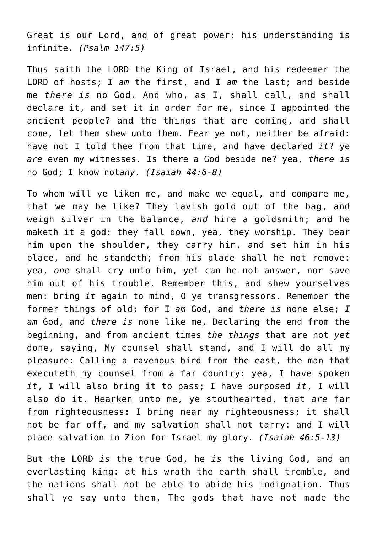Great is our Lord, and of great power: his understanding is infinite. *(Psalm 147:5)*

Thus saith the LORD the King of Israel, and his redeemer the LORD of hosts; I *am* the first, and I *am* the last; and beside me *there is* no God. And who, as I, shall call, and shall declare it, and set it in order for me, since I appointed the ancient people? and the things that are coming, and shall come, let them shew unto them. Fear ye not, neither be afraid: have not I told thee from that time, and have declared *it*? ye *are* even my witnesses. Is there a God beside me? yea, *there is* no God; I know not*any*. *(Isaiah 44:6-8)*

To whom will ye liken me, and make *me* equal, and compare me, that we may be like? They lavish gold out of the bag, and weigh silver in the balance, *and* hire a goldsmith; and he maketh it a god: they fall down, yea, they worship. They bear him upon the shoulder, they carry him, and set him in his place, and he standeth; from his place shall he not remove: yea, *one* shall cry unto him, yet can he not answer, nor save him out of his trouble. Remember this, and shew yourselves men: bring *it* again to mind, O ye transgressors. Remember the former things of old: for I *am* God, and *there is* none else; *I am* God, and *there is* none like me, Declaring the end from the beginning, and from ancient times *the things* that are not *yet* done, saying, My counsel shall stand, and I will do all my pleasure: Calling a ravenous bird from the east, the man that executeth my counsel from a far country: yea, I have spoken *it*, I will also bring it to pass; I have purposed *it*, I will also do it. Hearken unto me, ye stouthearted, that *are* far from righteousness: I bring near my righteousness; it shall not be far off, and my salvation shall not tarry: and I will place salvation in Zion for Israel my glory. *(Isaiah 46:5-13)*

But the LORD *is* the true God, he *is* the living God, and an everlasting king: at his wrath the earth shall tremble, and the nations shall not be able to abide his indignation. Thus shall ye say unto them, The gods that have not made the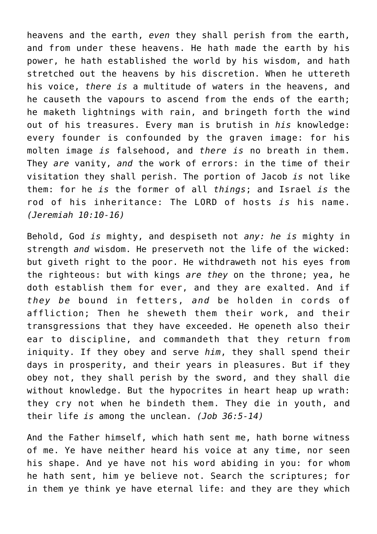heavens and the earth, *even* they shall perish from the earth, and from under these heavens. He hath made the earth by his power, he hath established the world by his wisdom, and hath stretched out the heavens by his discretion. When he uttereth his voice, *there is* a multitude of waters in the heavens, and he causeth the vapours to ascend from the ends of the earth; he maketh lightnings with rain, and bringeth forth the wind out of his treasures. Every man is brutish in *his* knowledge: every founder is confounded by the graven image: for his molten image *is* falsehood, and *there is* no breath in them. They *are* vanity, *and* the work of errors: in the time of their visitation they shall perish. The portion of Jacob *is* not like them: for he *is* the former of all *things*; and Israel *is* the rod of his inheritance: The LORD of hosts *is* his name. *(Jeremiah 10:10-16)*

Behold, God *is* mighty, and despiseth not *any: he is* mighty in strength *and* wisdom. He preserveth not the life of the wicked: but giveth right to the poor. He withdraweth not his eyes from the righteous: but with kings *are they* on the throne; yea, he doth establish them for ever, and they are exalted. And if *they be* bound in fetters, *and* be holden in cords of affliction; Then he sheweth them their work, and their transgressions that they have exceeded. He openeth also their ear to discipline, and commandeth that they return from iniquity. If they obey and serve *him*, they shall spend their days in prosperity, and their years in pleasures. But if they obey not, they shall perish by the sword, and they shall die without knowledge. But the hypocrites in heart heap up wrath: they cry not when he bindeth them. They die in youth, and their life *is* among the unclean. *(Job 36:5-14)*

And the Father himself, which hath sent me, hath borne witness of me. Ye have neither heard his voice at any time, nor seen his shape. And ye have not his word abiding in you: for whom he hath sent, him ye believe not. Search the scriptures; for in them ye think ye have eternal life: and they are they which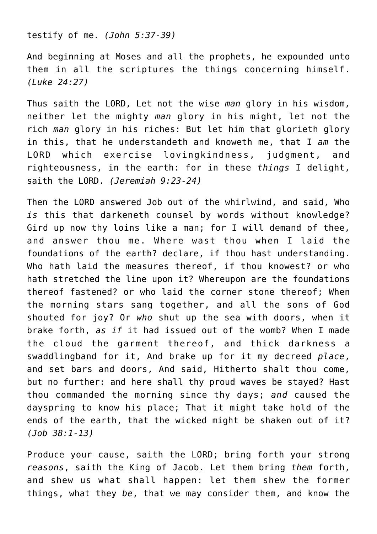testify of me. *(John 5:37-39)*

And beginning at Moses and all the prophets, he expounded unto them in all the scriptures the things concerning himself. *(Luke 24:27)*

Thus saith the LORD, Let not the wise *man* glory in his wisdom, neither let the mighty *man* glory in his might, let not the rich *man* glory in his riches: But let him that glorieth glory in this, that he understandeth and knoweth me, that I *am* the LORD which exercise lovingkindness, judgment, and righteousness, in the earth: for in these *things* I delight, saith the LORD. *(Jeremiah 9:23-24)*

Then the LORD answered Job out of the whirlwind, and said, Who *is* this that darkeneth counsel by words without knowledge? Gird up now thy loins like a man; for I will demand of thee, and answer thou me. Where wast thou when I laid the foundations of the earth? declare, if thou hast understanding. Who hath laid the measures thereof, if thou knowest? or who hath stretched the line upon it? Whereupon are the foundations thereof fastened? or who laid the corner stone thereof; When the morning stars sang together, and all the sons of God shouted for joy? Or *who* shut up the sea with doors, when it brake forth, *as if* it had issued out of the womb? When I made the cloud the garment thereof, and thick darkness a swaddlingband for it, And brake up for it my decreed *place*, and set bars and doors, And said, Hitherto shalt thou come, but no further: and here shall thy proud waves be stayed? Hast thou commanded the morning since thy days; *and* caused the dayspring to know his place; That it might take hold of the ends of the earth, that the wicked might be shaken out of it? *(Job 38:1-13)*

Produce your cause, saith the LORD; bring forth your strong *reasons*, saith the King of Jacob. Let them bring *them* forth, and shew us what shall happen: let them shew the former things, what they *be*, that we may consider them, and know the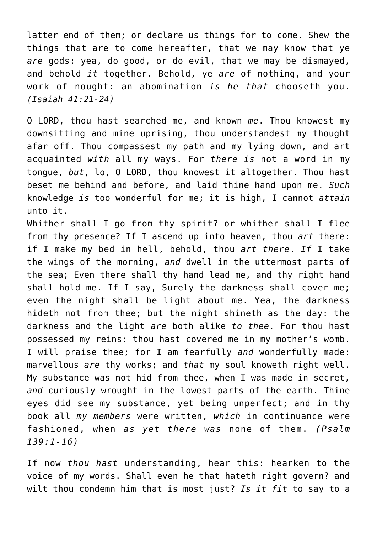latter end of them; or declare us things for to come. Shew the things that are to come hereafter, that we may know that ye *are* gods: yea, do good, or do evil, that we may be dismayed, and behold *it* together. Behold, ye *are* of nothing, and your work of nought: an abomination *is he that* chooseth you. *(Isaiah 41:21-24)*

O LORD, thou hast searched me, and known *me*. Thou knowest my downsitting and mine uprising, thou understandest my thought afar off. Thou compassest my path and my lying down, and art acquainted *with* all my ways. For *there is* not a word in my tongue, *but*, lo, O LORD, thou knowest it altogether. Thou hast beset me behind and before, and laid thine hand upon me. *Such* knowledge *is* too wonderful for me; it is high, I cannot *attain* unto it.

Whither shall I go from thy spirit? or whither shall I flee from thy presence? If I ascend up into heaven, thou *art* there: if I make my bed in hell, behold, thou *art there*. *If* I take the wings of the morning, *and* dwell in the uttermost parts of the sea; Even there shall thy hand lead me, and thy right hand shall hold me. If I say, Surely the darkness shall cover me; even the night shall be light about me. Yea, the darkness hideth not from thee; but the night shineth as the day: the darkness and the light *are* both alike *to thee*. For thou hast possessed my reins: thou hast covered me in my mother's womb. I will praise thee; for I am fearfully *and* wonderfully made: marvellous *are* thy works; and *that* my soul knoweth right well. My substance was not hid from thee, when I was made in secret, *and* curiously wrought in the lowest parts of the earth. Thine eyes did see my substance, yet being unperfect; and in thy book all *my members* were written, *which* in continuance were fashioned, when *as yet there was* none of them. *(Psalm 139:1-16)*

If now *thou hast* understanding, hear this: hearken to the voice of my words. Shall even he that hateth right govern? and wilt thou condemn him that is most just? *Is it fit* to say to a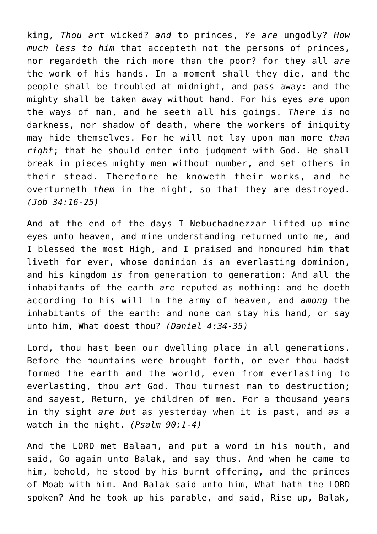king, *Thou art* wicked? *and* to princes, *Ye are* ungodly? *How much less to him* that accepteth not the persons of princes, nor regardeth the rich more than the poor? for they all *are* the work of his hands. In a moment shall they die, and the people shall be troubled at midnight, and pass away: and the mighty shall be taken away without hand. For his eyes *are* upon the ways of man, and he seeth all his goings. *There is* no darkness, nor shadow of death, where the workers of iniquity may hide themselves. For he will not lay upon man more *than right*; that he should enter into judgment with God. He shall break in pieces mighty men without number, and set others in their stead. Therefore he knoweth their works, and he overturneth *them* in the night, so that they are destroyed. *(Job 34:16-25)*

And at the end of the days I Nebuchadnezzar lifted up mine eyes unto heaven, and mine understanding returned unto me, and I blessed the most High, and I praised and honoured him that liveth for ever, whose dominion *is* an everlasting dominion, and his kingdom *is* from generation to generation: And all the inhabitants of the earth *are* reputed as nothing: and he doeth according to his will in the army of heaven, and *among* the inhabitants of the earth: and none can stay his hand, or say unto him, What doest thou? *(Daniel 4:34-35)*

Lord, thou hast been our dwelling place in all generations. Before the mountains were brought forth, or ever thou hadst formed the earth and the world, even from everlasting to everlasting, thou *art* God. Thou turnest man to destruction; and sayest, Return, ye children of men. For a thousand years in thy sight *are but* as yesterday when it is past, and *as* a watch in the night. *(Psalm 90:1-4)*

And the LORD met Balaam, and put a word in his mouth, and said, Go again unto Balak, and say thus. And when he came to him, behold, he stood by his burnt offering, and the princes of Moab with him. And Balak said unto him, What hath the LORD spoken? And he took up his parable, and said, Rise up, Balak,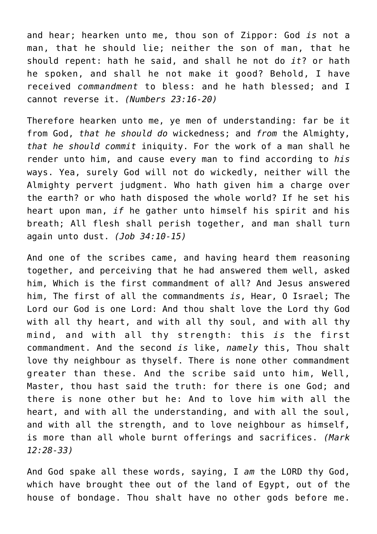and hear; hearken unto me, thou son of Zippor: God *is* not a man, that he should lie; neither the son of man, that he should repent: hath he said, and shall he not do *it*? or hath he spoken, and shall he not make it good? Behold, I have received *commandment* to bless: and he hath blessed; and I cannot reverse it. *(Numbers 23:16-20)*

Therefore hearken unto me, ye men of understanding: far be it from God, *that he should do* wickedness; and *from* the Almighty, *that he should commit* iniquity. For the work of a man shall he render unto him, and cause every man to find according to *his* ways. Yea, surely God will not do wickedly, neither will the Almighty pervert judgment. Who hath given him a charge over the earth? or who hath disposed the whole world? If he set his heart upon man, *if* he gather unto himself his spirit and his breath; All flesh shall perish together, and man shall turn again unto dust. *(Job 34:10-15)*

And one of the scribes came, and having heard them reasoning together, and perceiving that he had answered them well, asked him, Which is the first commandment of all? And Jesus answered him, The first of all the commandments *is*, Hear, O Israel; The Lord our God is one Lord: And thou shalt love the Lord thy God with all thy heart, and with all thy soul, and with all thy mind, and with all thy strength: this *is* the first commandment. And the second *is* like, *namely* this, Thou shalt love thy neighbour as thyself. There is none other commandment greater than these. And the scribe said unto him, Well, Master, thou hast said the truth: for there is one God; and there is none other but he: And to love him with all the heart, and with all the understanding, and with all the soul, and with all the strength, and to love neighbour as himself, is more than all whole burnt offerings and sacrifices. *(Mark 12:28-33)*

And God spake all these words, saying, I *am* the LORD thy God, which have brought thee out of the land of Egypt, out of the house of bondage. Thou shalt have no other gods before me.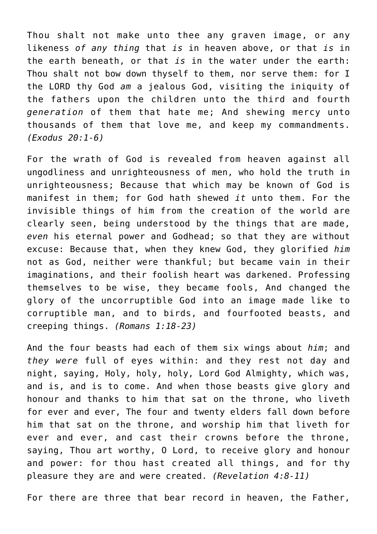Thou shalt not make unto thee any graven image, or any likeness *of any thing* that *is* in heaven above, or that *is* in the earth beneath, or that *is* in the water under the earth: Thou shalt not bow down thyself to them, nor serve them: for I the LORD thy God *am* a jealous God, visiting the iniquity of the fathers upon the children unto the third and fourth *generation* of them that hate me; And shewing mercy unto thousands of them that love me, and keep my commandments. *(Exodus 20:1-6)*

For the wrath of God is revealed from heaven against all ungodliness and unrighteousness of men, who hold the truth in unrighteousness; Because that which may be known of God is manifest in them; for God hath shewed *it* unto them. For the invisible things of him from the creation of the world are clearly seen, being understood by the things that are made, *even* his eternal power and Godhead; so that they are without excuse: Because that, when they knew God, they glorified *him* not as God, neither were thankful; but became vain in their imaginations, and their foolish heart was darkened. Professing themselves to be wise, they became fools, And changed the glory of the uncorruptible God into an image made like to corruptible man, and to birds, and fourfooted beasts, and creeping things. *(Romans 1:18-23)*

And the four beasts had each of them six wings about *him*; and *they were* full of eyes within: and they rest not day and night, saying, Holy, holy, holy, Lord God Almighty, which was, and is, and is to come. And when those beasts give glory and honour and thanks to him that sat on the throne, who liveth for ever and ever, The four and twenty elders fall down before him that sat on the throne, and worship him that liveth for ever and ever, and cast their crowns before the throne, saying, Thou art worthy, O Lord, to receive glory and honour and power: for thou hast created all things, and for thy pleasure they are and were created. *(Revelation 4:8-11)*

For there are three that bear record in heaven, the Father,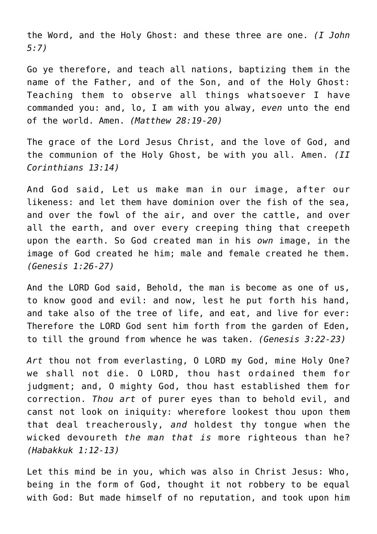the Word, and the Holy Ghost: and these three are one. *(I John 5:7)*

Go ye therefore, and teach all nations, baptizing them in the name of the Father, and of the Son, and of the Holy Ghost: Teaching them to observe all things whatsoever I have commanded you: and, lo, I am with you alway, *even* unto the end of the world. Amen. *(Matthew 28:19-20)*

The grace of the Lord Jesus Christ, and the love of God, and the communion of the Holy Ghost, be with you all. Amen. *(II Corinthians 13:14)*

And God said, Let us make man in our image, after our likeness: and let them have dominion over the fish of the sea, and over the fowl of the air, and over the cattle, and over all the earth, and over every creeping thing that creepeth upon the earth. So God created man in his *own* image, in the image of God created he him; male and female created he them. *(Genesis 1:26-27)*

And the LORD God said, Behold, the man is become as one of us, to know good and evil: and now, lest he put forth his hand, and take also of the tree of life, and eat, and live for ever: Therefore the LORD God sent him forth from the garden of Eden, to till the ground from whence he was taken. *(Genesis 3:22-23)*

*Art* thou not from everlasting, O LORD my God, mine Holy One? we shall not die. O LORD, thou hast ordained them for judgment; and, O mighty God, thou hast established them for correction. *Thou art* of purer eyes than to behold evil, and canst not look on iniquity: wherefore lookest thou upon them that deal treacherously, *and* holdest thy tongue when the wicked devoureth *the man that is* more righteous than he? *(Habakkuk 1:12-13)*

Let this mind be in you, which was also in Christ Jesus: Who, being in the form of God, thought it not robbery to be equal with God: But made himself of no reputation, and took upon him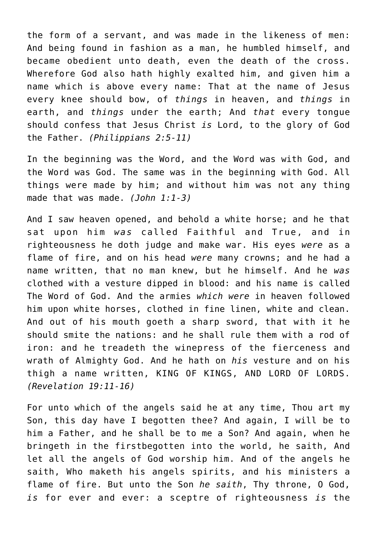the form of a servant, and was made in the likeness of men: And being found in fashion as a man, he humbled himself, and became obedient unto death, even the death of the cross. Wherefore God also hath highly exalted him, and given him a name which is above every name: That at the name of Jesus every knee should bow, of *things* in heaven, and *things* in earth, and *things* under the earth; And *that* every tongue should confess that Jesus Christ *is* Lord, to the glory of God the Father. *(Philippians 2:5-11)*

In the beginning was the Word, and the Word was with God, and the Word was God. The same was in the beginning with God. All things were made by him; and without him was not any thing made that was made. *(John 1:1-3)*

And I saw heaven opened, and behold a white horse; and he that sat upon him *was* called Faithful and True, and in righteousness he doth judge and make war. His eyes *were* as a flame of fire, and on his head *were* many crowns; and he had a name written, that no man knew, but he himself. And he *was* clothed with a vesture dipped in blood: and his name is called The Word of God. And the armies *which were* in heaven followed him upon white horses, clothed in fine linen, white and clean. And out of his mouth goeth a sharp sword, that with it he should smite the nations: and he shall rule them with a rod of iron: and he treadeth the winepress of the fierceness and wrath of Almighty God. And he hath on *his* vesture and on his thigh a name written, KING OF KINGS, AND LORD OF LORDS. *(Revelation 19:11-16)*

For unto which of the angels said he at any time, Thou art my Son, this day have I begotten thee? And again, I will be to him a Father, and he shall be to me a Son? And again, when he bringeth in the firstbegotten into the world, he saith, And let all the angels of God worship him. And of the angels he saith, Who maketh his angels spirits, and his ministers a flame of fire. But unto the Son *he saith*, Thy throne, O God, *is* for ever and ever: a sceptre of righteousness *is* the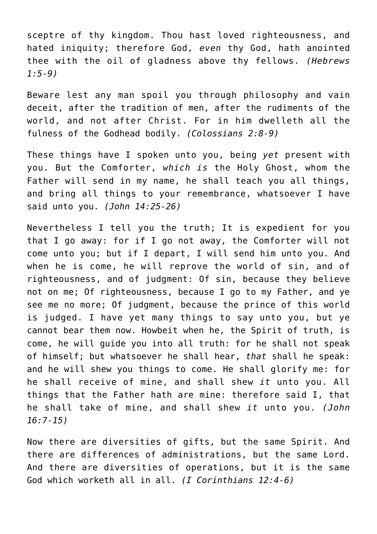sceptre of thy kingdom. Thou hast loved righteousness, and hated iniquity; therefore God, *even* thy God, hath anointed thee with the oil of gladness above thy fellows. *(Hebrews 1:5-9)*

Beware lest any man spoil you through philosophy and vain deceit, after the tradition of men, after the rudiments of the world, and not after Christ. For in him dwelleth all the fulness of the Godhead bodily. *(Colossians 2:8-9)*

These things have I spoken unto you, being *yet* present with you. But the Comforter, *which is* the Holy Ghost, whom the Father will send in my name, he shall teach you all things, and bring all things to your remembrance, whatsoever I have said unto you. *(John 14:25-26)*

Nevertheless I tell you the truth; It is expedient for you that I go away: for if I go not away, the Comforter will not come unto you; but if I depart, I will send him unto you. And when he is come, he will reprove the world of sin, and of righteousness, and of judgment: Of sin, because they believe not on me; Of righteousness, because I go to my Father, and ye see me no more; Of judgment, because the prince of this world is judged. I have yet many things to say unto you, but ye cannot bear them now. Howbeit when he, the Spirit of truth, is come, he will guide you into all truth: for he shall not speak of himself; but whatsoever he shall hear, *that* shall he speak: and he will shew you things to come. He shall glorify me: for he shall receive of mine, and shall shew *it* unto you. All things that the Father hath are mine: therefore said I, that he shall take of mine, and shall shew *it* unto you. *(John 16:7-15)*

Now there are diversities of gifts, but the same Spirit. And there are differences of administrations, but the same Lord. And there are diversities of operations, but it is the same God which worketh all in all. *(I Corinthians 12:4-6)*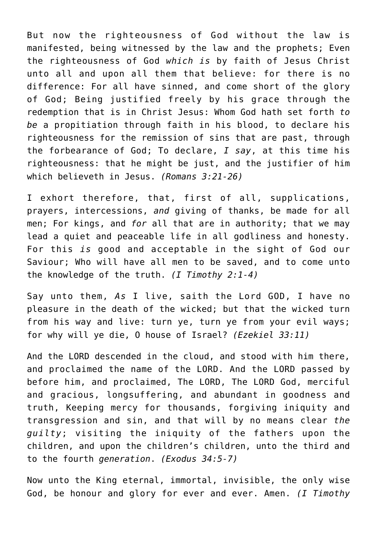But now the righteousness of God without the law is manifested, being witnessed by the law and the prophets; Even the righteousness of God *which is* by faith of Jesus Christ unto all and upon all them that believe: for there is no difference: For all have sinned, and come short of the glory of God; Being justified freely by his grace through the redemption that is in Christ Jesus: Whom God hath set forth *to be* a propitiation through faith in his blood, to declare his righteousness for the remission of sins that are past, through the forbearance of God; To declare, *I say*, at this time his righteousness: that he might be just, and the justifier of him which believeth in Jesus. *(Romans 3:21-26)*

I exhort therefore, that, first of all, supplications, prayers, intercessions, *and* giving of thanks, be made for all men; For kings, and *for* all that are in authority; that we may lead a quiet and peaceable life in all godliness and honesty. For this *is* good and acceptable in the sight of God our Saviour; Who will have all men to be saved, and to come unto the knowledge of the truth. *(I Timothy 2:1-4)*

Say unto them, *As* I live, saith the Lord GOD, I have no pleasure in the death of the wicked; but that the wicked turn from his way and live: turn ye, turn ye from your evil ways; for why will ye die, O house of Israel? *(Ezekiel 33:11)*

And the LORD descended in the cloud, and stood with him there, and proclaimed the name of the LORD. And the LORD passed by before him, and proclaimed, The LORD, The LORD God, merciful and gracious, longsuffering, and abundant in goodness and truth, Keeping mercy for thousands, forgiving iniquity and transgression and sin, and that will by no means clear *the guilty*; visiting the iniquity of the fathers upon the children, and upon the children's children, unto the third and to the fourth *generation*. *(Exodus 34:5-7)*

Now unto the King eternal, immortal, invisible, the only wise God, be honour and glory for ever and ever. Amen. *(I Timothy*